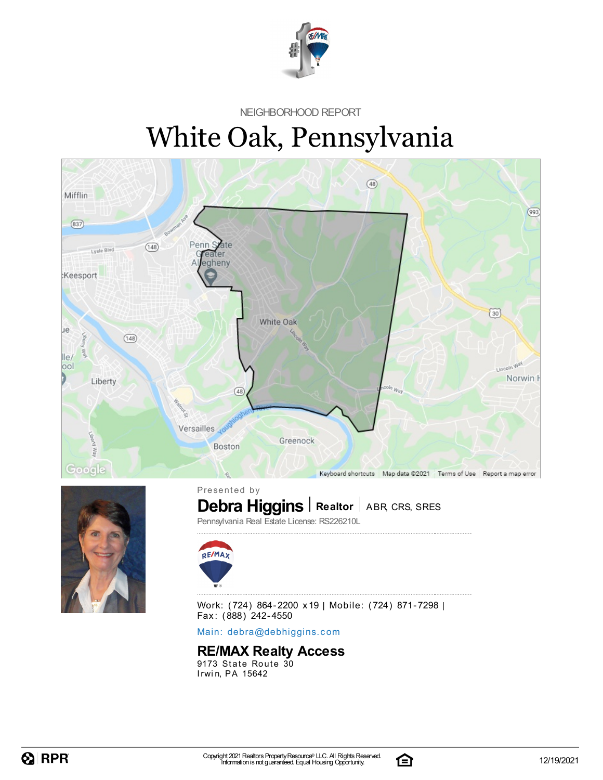

NEIGHBORHOOD REPORT

# White Oak, Pennsylvania





 $\textbf{Debra Higgs}$  Realtor | ABR, CRS, SRES Presented by

Pennsylvania Real Estate License: RS226210L



Work: (724) 864-2200 x19 | Mobile: (724) 871-7298 |

Fax: (888) 242-4550

Main: debra[@](mailto:debra@debhiggins.com)debhiggins.com

### **RE/MAX Realty Access**

9173 State Route 30 Irwin, PA 15642

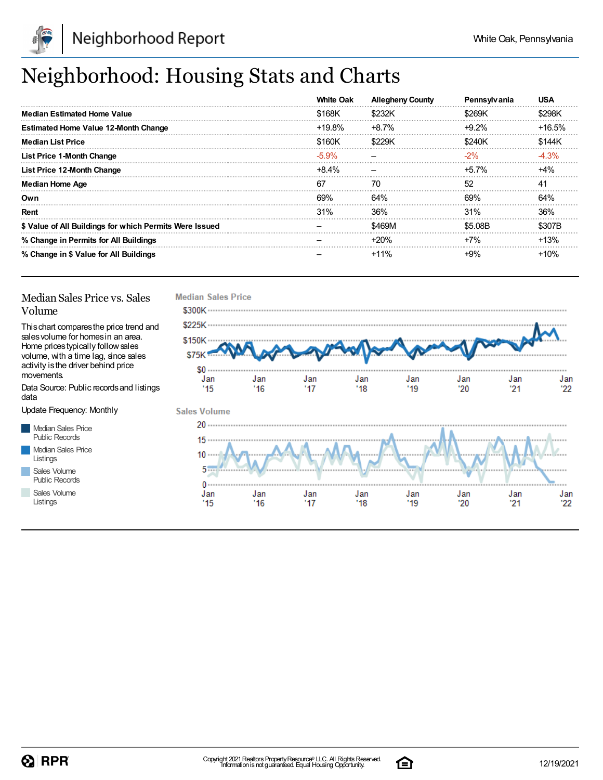

## Neighborhood: Housing Stats and Charts

|                                                         | <b>White Oak</b> | <b>Allegheny County</b> | Pennsylvania | <b>USA</b> |
|---------------------------------------------------------|------------------|-------------------------|--------------|------------|
| <b>Median Estimated Home Value</b>                      | \$168K           | \$232K                  | \$269K       | \$298K     |
| <b>Estimated Home Value 12-Month Change</b>             | +19.8%           | $+8.7%$                 | $+9.2\%$     | $+16.5%$   |
| <b>Median List Price</b>                                | \$160K           | \$229K                  | \$240K       | \$144K     |
| List Price 1-Month Change                               | $-5.9\%$         |                         | $-2\%$       | $-4.3%$    |
| List Price 12-Month Change                              | +8.4%            |                         | +5.7%        | $+4%$      |
| <b>Median Home Age</b>                                  | -67              | 70                      | 52           | 41         |
| Own                                                     | 69%              | 64%                     | 69%          | 64%        |
| Rent                                                    | 31%              | 36%                     | 31%          | 36%        |
| \$ Value of All Buildings for which Permits Were Issued |                  | \$469M                  | \$5.08B      | \$307B     |
| % Change in Permits for All Buildings                   |                  | $+20%$                  | $+7%$        | $+13%$     |
| % Change in \$ Value for All Buildings                  |                  | $+11%$                  | $+9%$        | $+10%$     |

#### Median Sales Price vs. Sales Volume

Thischart comparesthe price trend and salesvolume for homesin an area. Home pricestypically followsales volume, with a time lag, since sales activity is the driver behind price movements.

Data Source: Public recordsand listings data

Update Frequency: Monthly

Median Sales Price Public Records Median Sales Price Listings Sales Volume

Public Records Sales Volume

Listings



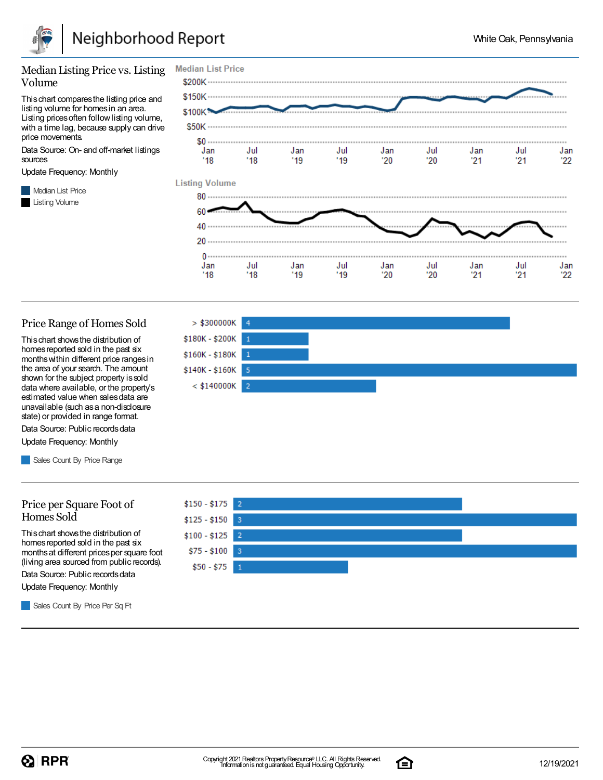

#### Median Listing Price vs. Listing Volume

Thischart comparesthe listing price and listing volume for homesin an area. Listing prices often follow listing volume, with a time lag, because supply can drive price movements.

Data Source: On- and off-market listings sources

Update Frequency: Monthly

**Median List Price** Listing Volume



#### Price Range of Homes Sold

Thischart showsthe distribution of homes reported sold in the past six monthswithin different price rangesin the area of your search. The amount shown for the subject property issold data where available, or the property's estimated value when salesdata are unavailable (such asa non-disclosure state) or provided in range format.

Data Source: Public records data Update Frequency: Monthly

Sales Count By Price Range

#### Price per Square Foot of Homes Sold

Thischart showsthe distribution of homes reported sold in the past six monthsat different pricesper square foot (living area sourced from public records).

Data Source: Public records data

Update Frequency: Monthly

Sales Count By Price Per Sq Ft





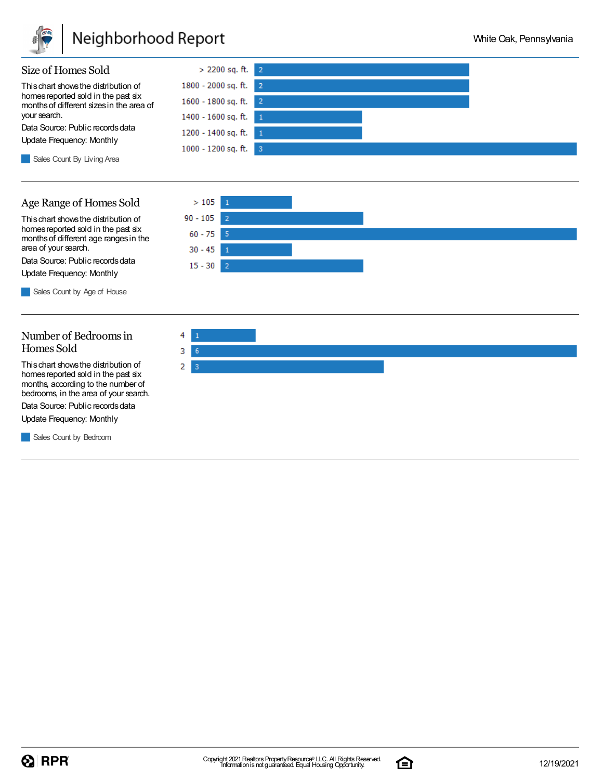

### Neighborhood Report



### Age Range of Homes Sold

Thischart showsthe distribution of homes reported sold in the past six monthsof different age rangesin the area of your search.

Data Source: Public records data Update Frequency: Monthly

Sales Count by Age of House

#### Number of Bedroomsin Homes Sold

Thischart showsthe distribution of homes reported sold in the past six months, according to the number of bedrooms, in the area of your search.

Data Source: Public records data

Update Frequency: Monthly

Sales Count by Bedroom





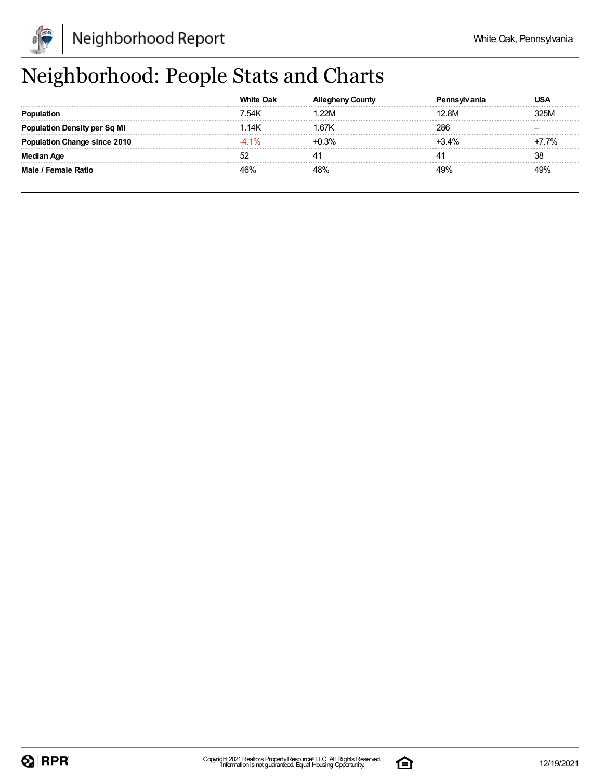

## Neighborhood: People Stats and Charts

|                                     | <b>White Oak</b> |         |         |         |
|-------------------------------------|------------------|---------|---------|---------|
|                                     | 7.54K            | .22M    | 2.8M    | 325M    |
| <b>Population Density per Sq Mi</b> | .14K             | ∣.67K   | 286     |         |
| <b>Population Change since 2010</b> | $-4.1%$          | $+0.3%$ | $+3.4%$ | $+7.7%$ |
| Median Age                          |                  |         |         | 38      |
| Male / Female Ratio                 | 16%              | 48%     | 49%     | 49%     |

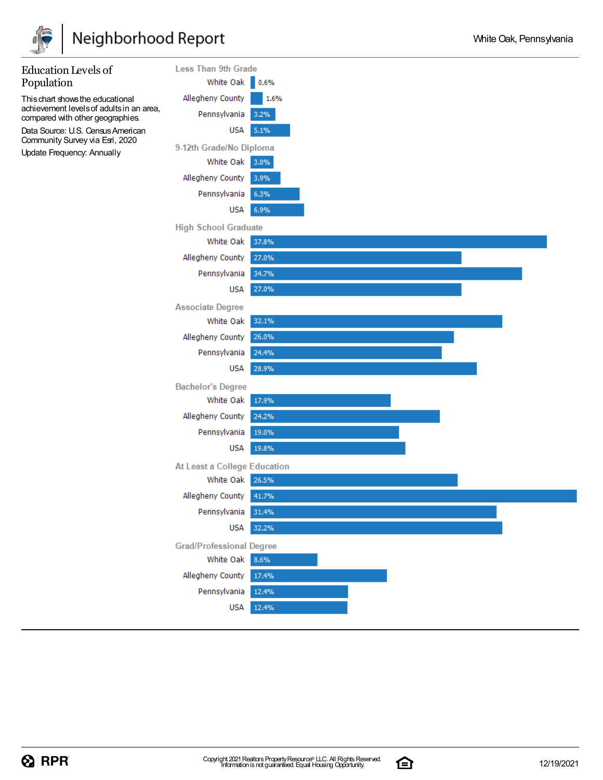

## Neighborhood Report

| <b>Education Levels of</b>                                                   | <b>Less Than 9th Grade</b>      |       |
|------------------------------------------------------------------------------|---------------------------------|-------|
| Population                                                                   | White Oak                       | 0.6%  |
| This chart shows the educational                                             | Allegheny County                | 1.6%  |
| achievement levels of adults in an area,<br>compared with other geographies. | Pennsylvania                    | 3.2%  |
| Data Source: U.S. Census American                                            | USA                             | 5.1%  |
| Community Survey via Esri, 2020<br>Update Frequency: Annually                | 9-12th Grade/No Diploma         |       |
|                                                                              | White Oak                       | 3.0%  |
|                                                                              | Allegheny County                | 3.9%  |
|                                                                              | Pennsylvania                    | 6.3%  |
|                                                                              | USA                             | 6.9%  |
|                                                                              | <b>High School Graduate</b>     |       |
|                                                                              | White Oak                       | 37.8% |
|                                                                              | Allegheny County                | 27.0% |
|                                                                              | Pennsylvania                    | 34.7% |
|                                                                              | USA                             | 27.0% |
|                                                                              | <b>Associate Degree</b>         |       |
|                                                                              | White Oak                       | 32.1% |
|                                                                              | Allegheny County                | 26.0% |
|                                                                              | Pennsylvania                    | 24.4% |
|                                                                              | USA                             | 28.9% |
|                                                                              | <b>Bachelor's Degree</b>        |       |
|                                                                              | White Oak                       | 17.9% |
|                                                                              | Allegheny County                | 24.2% |
|                                                                              | Pennsylvania                    | 19.0% |
|                                                                              | USA                             | 19.8% |
|                                                                              | At Least a College Education    |       |
|                                                                              | White Oak                       | 26.5% |
|                                                                              | Allegheny County                | 41.7% |
|                                                                              | Pennsylvania                    | 31.4% |
|                                                                              | <b>USA</b>                      | 32.2% |
|                                                                              | <b>Grad/Professional Degree</b> |       |
|                                                                              | White Oak                       | 8.6%  |
|                                                                              | Allegheny County                | 17.4% |
|                                                                              | Pennsylvania                    | 12.4% |
|                                                                              | <b>USA</b>                      | 12.4% |
|                                                                              |                                 |       |

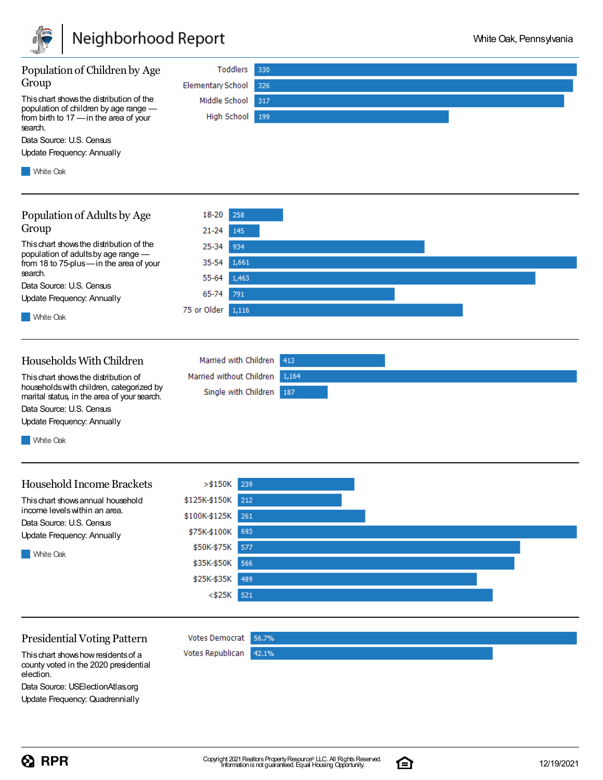

| Population of Children by Age<br>Group<br>This chart shows the distribution of the<br>population of children by age range -<br>from birth to 17 - in the area of your<br>search.<br>Data Source: U.S. Census<br>Update Frequency: Annually<br><b>White Oak</b> | Toddlers<br><b>Elementary School</b><br>Middle School<br>High School                                                                                                           | 330<br>326<br>317<br>199 |
|----------------------------------------------------------------------------------------------------------------------------------------------------------------------------------------------------------------------------------------------------------------|--------------------------------------------------------------------------------------------------------------------------------------------------------------------------------|--------------------------|
| Population of Adults by Age<br>Group<br>This chart shows the distribution of the<br>population of adults by age range -<br>from 18 to 75-plus-in the area of your<br>search.<br>Data Source: U.S. Census<br>Update Frequency: Annually<br><b>White Oak</b>     | 18-20<br>258<br>21-24<br>145<br>25-34<br>934<br>1,661<br>35-54<br>55-64<br>1,463<br>65-74<br>791<br>75 or Older<br>1,116                                                       |                          |
| Households With Children<br>This chart shows the distribution of<br>households with children, categorized by<br>marital status, in the area of your search.<br>Data Source: U.S. Census<br>Update Frequency: Annually<br><b>White Oak</b>                      | Married with Children<br>Married without Children<br>Single with Children                                                                                                      | 413<br>1,164<br>187      |
| <b>Household Income Brackets</b><br>This chart shows annual household<br>income levels within an area.<br>Data Source: U.S. Census<br>Update Frequency: Annually<br><b>White Oak</b>                                                                           | $>$ \$150K<br>239<br>\$125K-\$150K 212<br>\$100K-\$125K<br>261<br>693<br>\$75K-\$100K<br>\$50K-\$75K<br>577<br>\$35K-\$50K<br>566<br>\$25K-\$35K<br>489<br>$<$ \$25 $K$<br>521 |                          |
| <b>Presidential Voting Pattern</b><br>This chart shows how residents of a<br>county voted in the 2020 presidential<br>election.                                                                                                                                | Votes Democrat 56.7%<br>Votes Republican                                                                                                                                       | 42.1%                    |

Data Source: USElectionAtlas.org Update Frequency: Quadrennially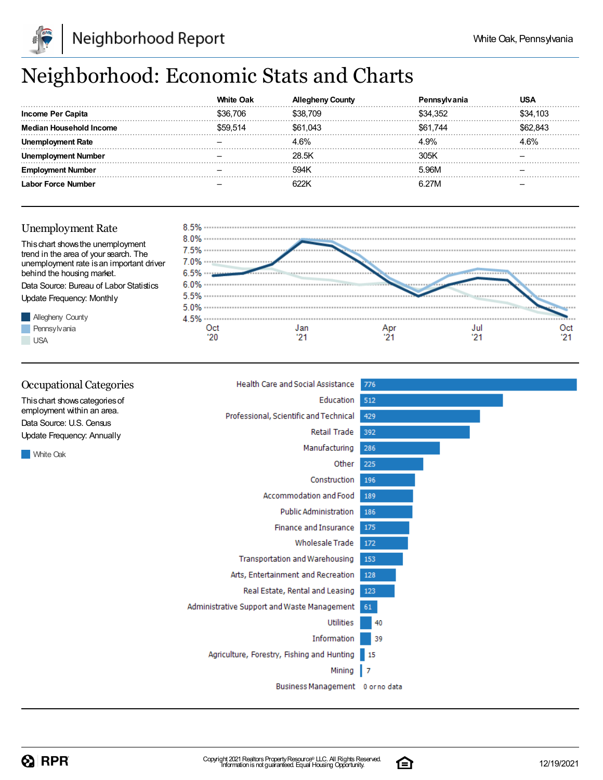

## Neighborhood: Economic Stats and Charts

|                          | White Oak |          |          |          |
|--------------------------|-----------|----------|----------|----------|
| <b>Income Per Capita</b> | 36.706    | `38.709  | \$34.352 | \$34.103 |
| Median Household Income  |           | \$61.043 | \$61,744 | 843      |
| Rate                     |           | 4 6%     | L9%      | 1.6%     |
| Number                   |           | 28.5K    | 30.5K    |          |
| Number                   |           | 594K     | 5.96M    |          |
| abor Force Number        |           |          | 6 27M    |          |

### Unemployment Rate





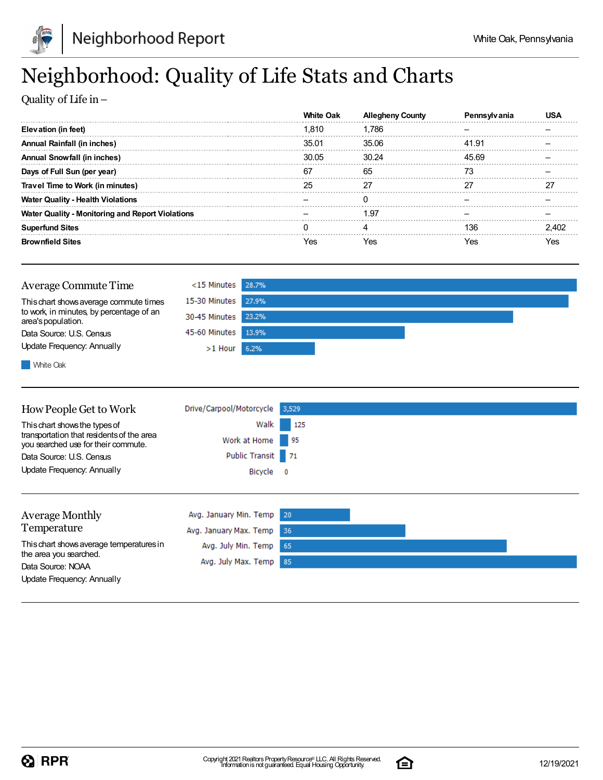

## Neighborhood: Quality of Life Stats and Charts

Quality of Life in–

|                                                  | White Oak |       |       |     |
|--------------------------------------------------|-----------|-------|-------|-----|
| Elevation (in feet)                              | 1.810     | 1.786 |       |     |
| Annual Rainfall (in inches)                      | 35.01     | 35.06 | 41.91 |     |
| <b>Annual Snowfall (in inches)</b>               | 30.05     | 30.24 | 45.69 |     |
| Days of Full Sun (per year)                      | -67       | 65    |       |     |
| Travel Time to Work (in minutes)                 |           |       |       |     |
| <b>Water Quality - Health Violations</b>         |           |       |       |     |
| Water Quality - Monitoring and Report Violations |           | 1.97  |       |     |
| <b>Superfund Sites</b>                           |           |       | 136   |     |
| <b>Brownfield Sites</b>                          | ΆS.       | 'es   | Yes   | 7es |

| Average Commute Time                                           | $<$ 15 Minutes 28.7% |  |
|----------------------------------------------------------------|----------------------|--|
| This chart shows average commute times                         | 15-30 Minutes 27.9%  |  |
| to work, in minutes, by percentage of an<br>area's population. | 30-45 Minutes 23.2%  |  |
| Data Source: U.S. Census                                       | 45-60 Minutes 13.9%  |  |
| Update Frequency: Annually                                     | $>1$ Hour 6.2%       |  |
|                                                                |                      |  |

**White Oak** 

| How People Get to Work                                                           | Drive/Carpool/Motorcycle                         | 3,529                    |  |
|----------------------------------------------------------------------------------|--------------------------------------------------|--------------------------|--|
| This chart shows the types of                                                    | Walk                                             | 125                      |  |
| transportation that residents of the area<br>you searched use for their commute. | Work at Home                                     | - 95                     |  |
| Data Source: U.S. Census                                                         | Public Transit 71                                |                          |  |
| Update Frequency: Annually                                                       | Bicycle                                          | $\overline{\phantom{0}}$ |  |
| <b>Average Monthly</b><br>Temperature                                            | Avg. January Min. Temp<br>Avg. January Max. Temp | 20<br>36                 |  |
| This chart shows average temperatures in<br>the area you searched.               | Avg. July Min. Temp                              | 65                       |  |
| Data Source: NOAA                                                                | Avg. July Max. Temp                              | 85                       |  |
| Update Frequency: Annually                                                       |                                                  |                          |  |

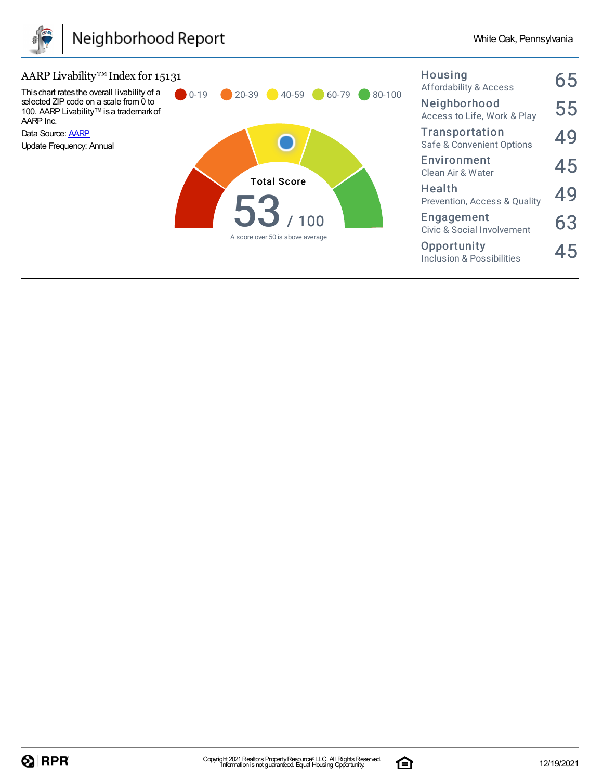